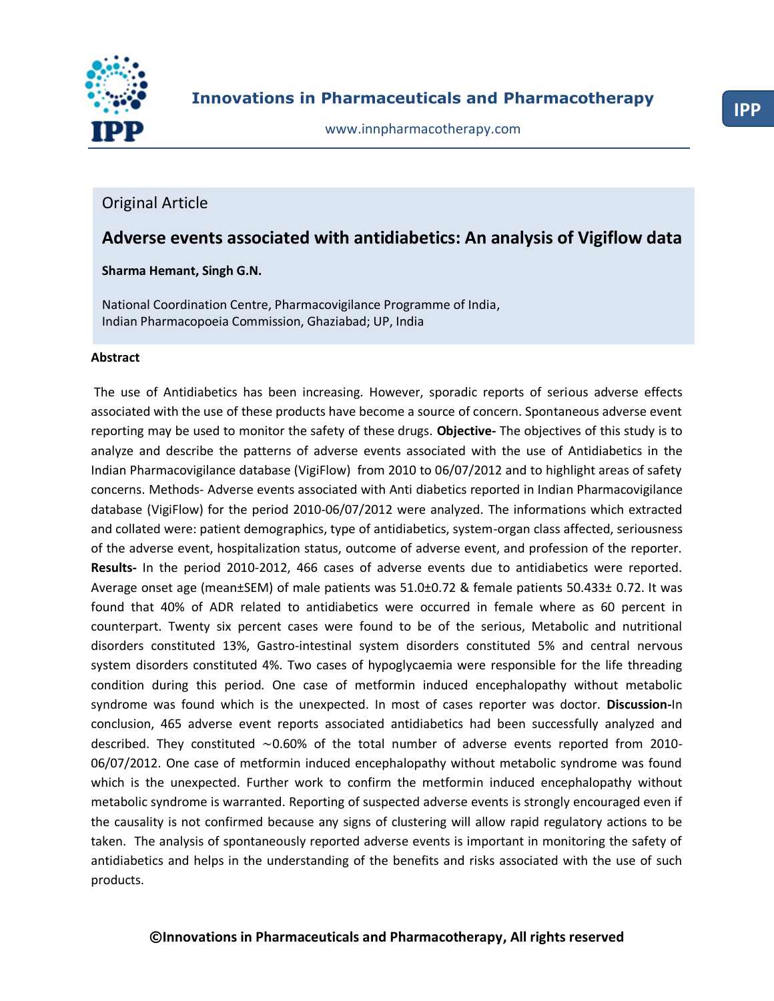

www.innpharmacotherapy.com

# Original Article

# **Adverse events associated with antidiabetics: An analysis of Vigiflow data**

### **Sharma Hemant, Singh G.N.**

National Coordination Centre, Pharmacovigilance Programme of India, Indian Pharmacopoeia Commission, Ghaziabad; UP, India

# **Abstract**

The use of Antidiabetics has been increasing. However, sporadic reports of serious adverse effects associated with the use of these products have become a source of concern. Spontaneous adverse event reporting may be used to monitor the safety of these drugs. **Objective-** The objectives of this study is to analyze and describe the patterns of adverse events associated with the use of Antidiabetics in the Indian Pharmacovigilance database (VigiFlow) from 2010 to 06/07/2012 and to highlight areas of safety concerns. Methods- Adverse events associated with Anti diabetics reported in Indian Pharmacovigilance database (VigiFlow) for the period 2010-06/07/2012 were analyzed. The informations which extracted and collated were: patient demographics, type of antidiabetics, system-organ class affected, seriousness of the adverse event, hospitalization status, outcome of adverse event, and profession of the reporter. **Results-** In the period 2010-2012, 466 cases of adverse events due to antidiabetics were reported. Average onset age (mean±SEM) of male patients was 51.0±0.72 & female patients 50.433± 0.72. It was found that 40% of ADR related to antidiabetics were occurred in female where as 60 percent in counterpart. Twenty six percent cases were found to be of the serious, Metabolic and nutritional disorders constituted 13%, Gastro-intestinal system disorders constituted 5% and central nervous system disorders constituted 4%. Two cases of hypoglycaemia were responsible for the life threading condition during this period. One case of metformin induced encephalopathy without metabolic syndrome was found which is the unexpected. In most of cases reporter was doctor. **Discussion-**In conclusion, 465 adverse event reports associated antidiabetics had been successfully analyzed and described. They constituted ∼0.60% of the total number of adverse events reported from 2010- 06/07/2012. One case of metformin induced encephalopathy without metabolic syndrome was found which is the unexpected. Further work to confirm the metformin induced encephalopathy without metabolic syndrome is warranted. Reporting of suspected adverse events is strongly encouraged even if the causality is not confirmed because any signs of clustering will allow rapid regulatory actions to be taken. The analysis of spontaneously reported adverse events is important in monitoring the safety of antidiabetics and helps in the understanding of the benefits and risks associated with the use of such products.

# **©Innovations in Pharmaceuticals and Pharmacotherapy, All rights reserved**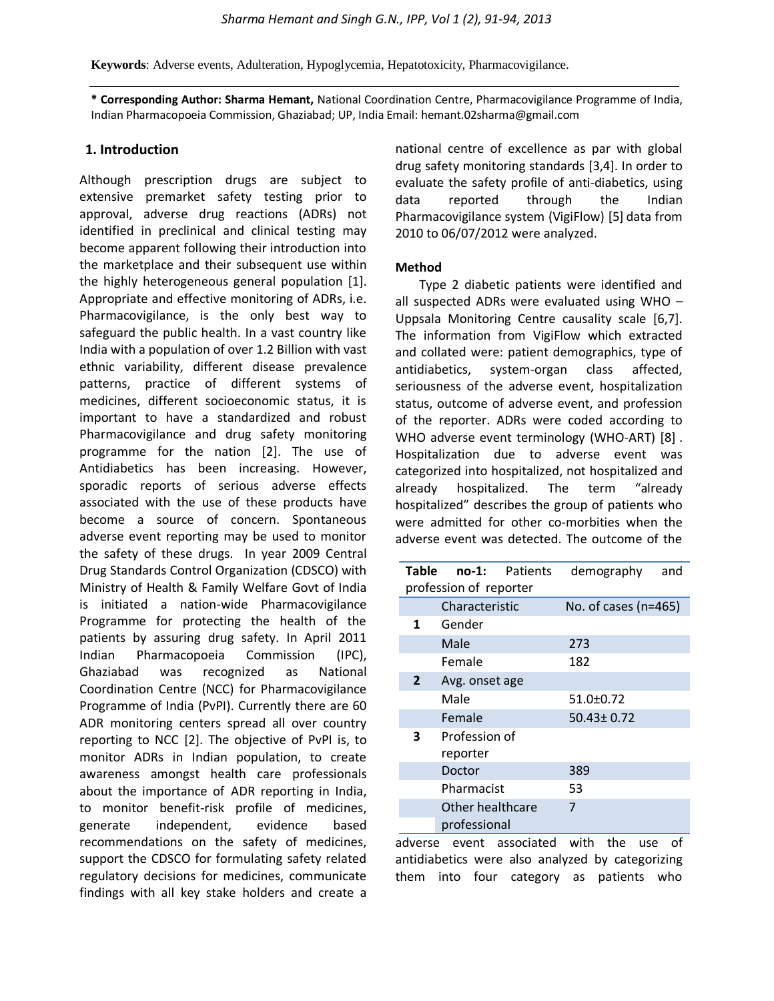**Keywords**[: Adverse events,](http://informahealthcare.com/action/doSearch?action=runSearch&type=advanced&result=true&prevSearch=keywordsfield%3A(%22Adverse+events%22)) [Adulteration,](http://informahealthcare.com/action/doSearch?action=runSearch&type=advanced&result=true&prevSearch=keywordsfield%3A(%22Adulteration%22)) [Hypoglycemia,](http://informahealthcare.com/action/doSearch?action=runSearch&type=advanced&result=true&prevSearch=keywordsfield%3A(%22Hypoglycemia%22)) [Hepatotoxicity,](http://informahealthcare.com/action/doSearch?action=runSearch&type=advanced&result=true&prevSearch=keywordsfield%3A(%22Hepatotoxicity%22)) [Pharmacovigilance.](http://informahealthcare.com/action/doSearch?action=runSearch&type=advanced&result=true&prevSearch=keywordsfield%3A(%22Pharmacovigilance%22))

**\* Corresponding Author: Sharma Hemant,** National Coordination Centre, Pharmacovigilance Programme of India, Indian Pharmacopoeia Commission, Ghaziabad; UP, India Email: hemant.02sharma@gmail.com

#### **1. Introduction**

Although prescription drugs are subject to extensive premarket safety testing prior to approval, adverse drug reactions (ADRs) not identified in preclinical and clinical testing may become apparent following their introduction into the marketplace and their subsequent use within the highly heterogeneous general population [1]. Appropriate and effective monitoring of ADRs, i.e. Pharmacovigilance, is the only best way to safeguard the public health. In a vast country like India with a population of over 1.2 Billion with vast ethnic variability, different disease prevalence patterns, practice of different systems of medicines, different socioeconomic status, it is important to have a standardized and robust Pharmacovigilance and drug safety monitoring programme for the nation [2]. The use of Antidiabetics has been increasing. However, sporadic reports of serious adverse effects associated with the use of these products have become a source of concern. Spontaneous adverse event reporting may be used to monitor the safety of these drugs. In year 2009 Central Drug Standards Control Organization (CDSCO) with Ministry of Health & Family Welfare Govt of India is initiated a nation-wide Pharmacovigilance Programme for protecting the health of the patients by assuring drug safety. In April 2011 Indian Pharmacopoeia Commission (IPC), Ghaziabad was recognized as National Coordination Centre (NCC) for Pharmacovigilance Programme of India (PvPI). Currently there are 60 ADR monitoring centers spread all over country reporting to NCC [2]. The objective of PvPI is, to monitor ADRs in Indian population, to create awareness amongst health care professionals about the importance of ADR reporting in India, to monitor benefit-risk profile of medicines, generate independent, evidence based recommendations on the safety of medicines, support the CDSCO for formulating safety related regulatory decisions for medicines, communicate findings with all key stake holders and create a

national centre of excellence as par with global drug safety monitoring standards [3,4]. In order to evaluate the safety profile of anti-diabetics, using data reported through the Indian Pharmacovigilance system (VigiFlow) [5] data from 2010 to 06/07/2012 were analyzed.

#### **Method**

Type 2 diabetic patients were identified and all suspected ADRs were evaluated using WHO – Uppsala Monitoring Centre causality scale [6,7]. The information from VigiFlow which extracted and collated were: patient demographics, type of antidiabetics, system-organ class affected, seriousness of the adverse event, hospitalization status, outcome of adverse event, and profession of the reporter. ADRs were coded according to WHO adverse event terminology (WHO-ART) [8] . Hospitalization due to adverse event was categorized into hospitalized, not hospitalized and already hospitalized. The term "already hospitalized" describes the group of patients who were admitted for other co-morbities when the adverse event was detected. The outcome of the

| Table                  |                  | no-1: Patients | demography           | and |  |
|------------------------|------------------|----------------|----------------------|-----|--|
| profession of reporter |                  |                |                      |     |  |
|                        | Characteristic   |                | No. of cases (n=465) |     |  |
| 1                      | Gender           |                |                      |     |  |
|                        | Male             |                | 273                  |     |  |
|                        | Female           |                | 182                  |     |  |
| $\overline{2}$         | Avg. onset age   |                |                      |     |  |
|                        | Male             |                | $51.0 \pm 0.72$      |     |  |
|                        | Female           |                | $50.43 \pm 0.72$     |     |  |
| 3                      | Profession of    |                |                      |     |  |
|                        | reporter         |                |                      |     |  |
|                        | Doctor           |                | 389                  |     |  |
|                        | Pharmacist       |                | 53                   |     |  |
|                        | Other healthcare |                | 7                    |     |  |
|                        | professional     |                |                      |     |  |

adverse event associated with the use of antidiabetics were also analyzed by categorizing them into four category as patients who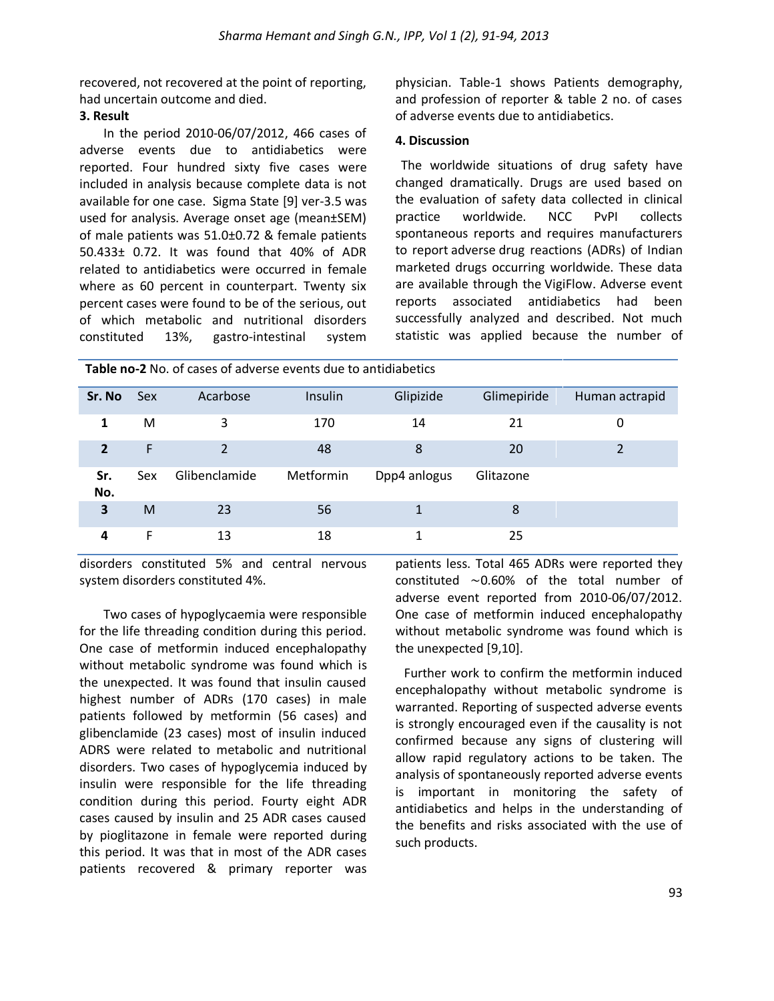recovered, not recovered at the point of reporting, had uncertain outcome and died.

## **3. Result**

In the period 2010-06/07/2012, 466 cases of adverse events due to antidiabetics were reported. Four hundred sixty five cases were included in analysis because complete data is not available for one case. Sigma State [9] ver-3.5 was used for analysis. Average onset age (mean±SEM) of male patients was 51.0±0.72 & female patients 50.433± 0.72. It was found that 40% of ADR related to antidiabetics were occurred in female where as 60 percent in counterpart. Twenty six percent cases were found to be of the serious, out of which metabolic and nutritional disorders constituted 13%, gastro-intestinal system physician. Table-1 shows Patients demography, and profession of reporter & table 2 no. of cases of adverse events due to antidiabetics.

## **4. Discussion**

The worldwide situations of drug safety have changed dramatically. Drugs are used based on the evaluation of safety data collected in clinical practice worldwide. NCC PvPI collects spontaneous reports and requires manufacturers to report adverse drug reactions (ADRs) of Indian marketed drugs occurring worldwide. These data are available through the VigiFlow. Adverse event reports associated antidiabetics had been successfully analyzed and described. Not much statistic was applied because the number of

| <b>Table no-2</b> No. of cases of adverse events due to antidiabetics |            |                |           |              |             |                |  |  |
|-----------------------------------------------------------------------|------------|----------------|-----------|--------------|-------------|----------------|--|--|
| Sr. No                                                                | <b>Sex</b> | Acarbose       | Insulin   | Glipizide    | Glimepiride | Human actrapid |  |  |
| 1                                                                     | м          | 3              | 170       | 14           | 21          | 0              |  |  |
| $\overline{2}$                                                        | F          | $\overline{2}$ | 48        | 8            | 20          | 2              |  |  |
| Sr.<br>No.                                                            | Sex        | Glibenclamide  | Metformin | Dpp4 anlogus | Glitazone   |                |  |  |
| 3                                                                     | M          | 23             | 56        | 1            | 8           |                |  |  |
| 4                                                                     | F          | 13             | 18        | 1            | 25          |                |  |  |

disorders constituted 5% and central nervous system disorders constituted 4%.

Two cases of hypoglycaemia were responsible for the life threading condition during this period. One case of metformin induced encephalopathy without metabolic syndrome was found which is the unexpected. It was found that insulin caused highest number of ADRs (170 cases) in male patients followed by metformin (56 cases) and glibenclamide (23 cases) most of insulin induced ADRS were related to metabolic and nutritional disorders. Two cases of hypoglycemia induced by insulin were responsible for the life threading condition during this period. Fourty eight ADR cases caused by insulin and 25 ADR cases caused by pioglitazone in female were reported during this period. It was that in most of the ADR cases patients recovered & primary reporter was

patients less. Total 465 ADRs were reported they constituted ∼0.60% of the total number of adverse event reported from 2010-06/07/2012. One case of metformin induced encephalopathy without metabolic syndrome was found which is the unexpected [9,10].

Further work to confirm the metformin induced encephalopathy without metabolic syndrome is warranted. Reporting of suspected adverse events is strongly encouraged even if the causality is not confirmed because any signs of clustering will allow rapid regulatory actions to be taken. The analysis of spontaneously reported adverse events is important in monitoring the safety of antidiabetics and helps in the understanding of the benefits and risks associated with the use of such products.